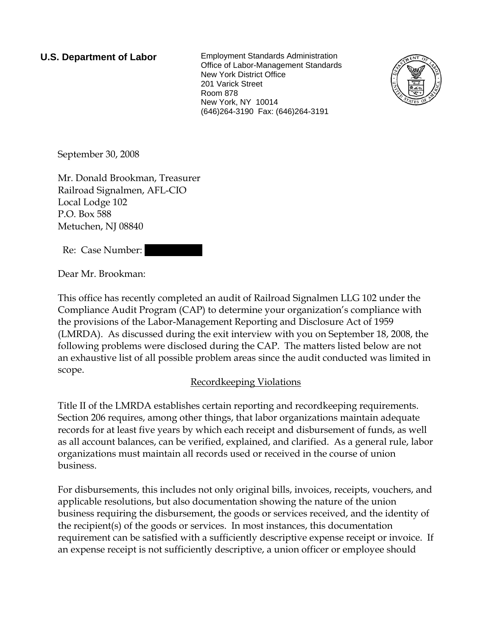**U.S. Department of Labor** Employment Standards Administration Office of Labor-Management Standards New York District Office 201 Varick Street Room 878 New York, NY 10014 (646)264-3190 Fax: (646)264-3191



September 30, 2008

Mr. Donald Brookman, Treasurer Railroad Signalmen, AFL-CIO Local Lodge 102 P.O. Box 588 Metuchen, NJ 08840

Re: Case Number:

Dear Mr. Brookman:

This office has recently completed an audit of Railroad Signalmen LLG 102 under the Compliance Audit Program (CAP) to determine your organization's compliance with the provisions of the Labor-Management Reporting and Disclosure Act of 1959 (LMRDA). As discussed during the exit interview with you on September 18, 2008, the following problems were disclosed during the CAP. The matters listed below are not an exhaustive list of all possible problem areas since the audit conducted was limited in scope.

# Recordkeeping Violations

Title II of the LMRDA establishes certain reporting and recordkeeping requirements. Section 206 requires, among other things, that labor organizations maintain adequate records for at least five years by which each receipt and disbursement of funds, as well as all account balances, can be verified, explained, and clarified. As a general rule, labor organizations must maintain all records used or received in the course of union business.

For disbursements, this includes not only original bills, invoices, receipts, vouchers, and applicable resolutions, but also documentation showing the nature of the union business requiring the disbursement, the goods or services received, and the identity of the recipient(s) of the goods or services. In most instances, this documentation requirement can be satisfied with a sufficiently descriptive expense receipt or invoice. If an expense receipt is not sufficiently descriptive, a union officer or employee should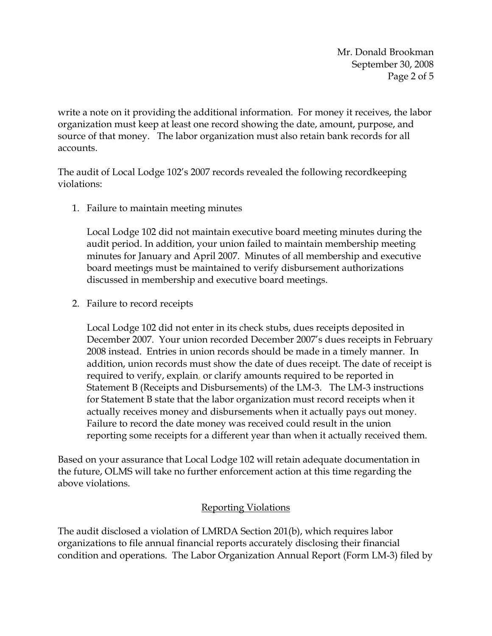Mr. Donald Brookman September 30, 2008 Page 2 of 5

write a note on it providing the additional information. For money it receives, the labor organization must keep at least one record showing the date, amount, purpose, and source of that money. The labor organization must also retain bank records for all accounts.

The audit of Local Lodge 102's 2007 records revealed the following recordkeeping violations:

1. Failure to maintain meeting minutes

Local Lodge 102 did not maintain executive board meeting minutes during the audit period. In addition, your union failed to maintain membership meeting minutes for January and April 2007. Minutes of all membership and executive board meetings must be maintained to verify disbursement authorizations discussed in membership and executive board meetings.

2. Failure to record receipts

Local Lodge 102 did not enter in its check stubs, dues receipts deposited in December 2007. Your union recorded December 2007's dues receipts in February 2008 instead. Entries in union records should be made in a timely manner. In addition, union records must show the date of dues receipt. The date of receipt is required to verify, explain, or clarify amounts required to be reported in Statement B (Receipts and Disbursements) of the LM-3. The LM-3 instructions for Statement B state that the labor organization must record receipts when it actually receives money and disbursements when it actually pays out money. Failure to record the date money was received could result in the union reporting some receipts for a different year than when it actually received them.

Based on your assurance that Local Lodge 102 will retain adequate documentation in the future, OLMS will take no further enforcement action at this time regarding the above violations.

### Reporting Violations

The audit disclosed a violation of LMRDA Section 201(b), which requires labor organizations to file annual financial reports accurately disclosing their financial condition and operations. The Labor Organization Annual Report (Form LM-3) filed by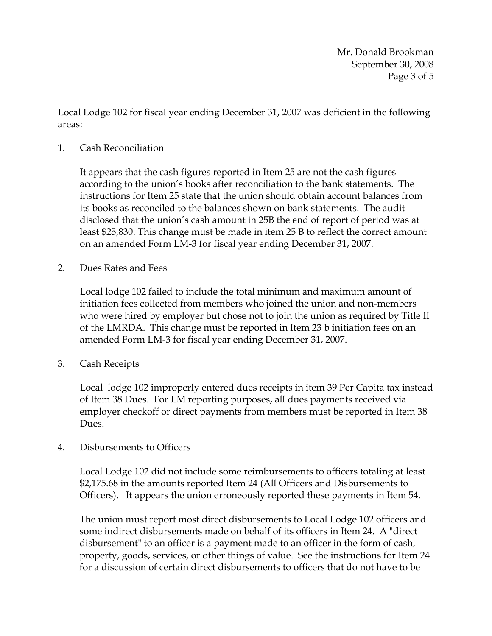Mr. Donald Brookman September 30, 2008 Page 3 of 5

Local Lodge 102 for fiscal year ending December 31, 2007 was deficient in the following areas:

#### 1. Cash Reconciliation

It appears that the cash figures reported in Item 25 are not the cash figures according to the union's books after reconciliation to the bank statements. The instructions for Item 25 state that the union should obtain account balances from its books as reconciled to the balances shown on bank statements. The audit disclosed that the union's cash amount in 25B the end of report of period was at least \$25,830. This change must be made in item 25 B to reflect the correct amount on an amended Form LM-3 for fiscal year ending December 31, 2007.

2. Dues Rates and Fees

Local lodge 102 failed to include the total minimum and maximum amount of initiation fees collected from members who joined the union and non-members who were hired by employer but chose not to join the union as required by Title II of the LMRDA. This change must be reported in Item 23 b initiation fees on an amended Form LM-3 for fiscal year ending December 31, 2007.

3. Cash Receipts

Local lodge 102 improperly entered dues receipts in item 39 Per Capita tax instead of Item 38 Dues. For LM reporting purposes, all dues payments received via employer checkoff or direct payments from members must be reported in Item 38 Dues.

4. Disbursements to Officers

Local Lodge 102 did not include some reimbursements to officers totaling at least \$2,175.68 in the amounts reported Item 24 (All Officers and Disbursements to Officers). It appears the union erroneously reported these payments in Item 54.

The union must report most direct disbursements to Local Lodge 102 officers and some indirect disbursements made on behalf of its officers in Item 24. A "direct disbursement" to an officer is a payment made to an officer in the form of cash, property, goods, services, or other things of value. See the instructions for Item 24 for a discussion of certain direct disbursements to officers that do not have to be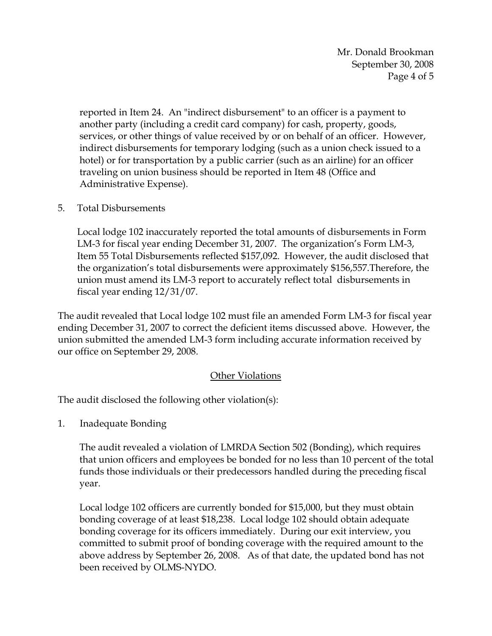Mr. Donald Brookman September 30, 2008 Page 4 of 5

reported in Item 24. An "indirect disbursement" to an officer is a payment to another party (including a credit card company) for cash, property, goods, services, or other things of value received by or on behalf of an officer. However, indirect disbursements for temporary lodging (such as a union check issued to a hotel) or for transportation by a public carrier (such as an airline) for an officer traveling on union business should be reported in Item 48 (Office and Administrative Expense).

### 5. Total Disbursements

Local lodge 102 inaccurately reported the total amounts of disbursements in Form LM-3 for fiscal year ending December 31, 2007. The organization's Form LM-3, Item 55 Total Disbursements reflected \$157,092. However, the audit disclosed that the organization's total disbursements were approximately \$156,557.Therefore, the union must amend its LM-3 report to accurately reflect total disbursements in fiscal year ending 12/31/07.

The audit revealed that Local lodge 102 must file an amended Form LM-3 for fiscal year ending December 31, 2007 to correct the deficient items discussed above. However, the union submitted the amended LM-3 form including accurate information received by our office on September 29, 2008.

# Other Violations

The audit disclosed the following other violation(s):

1. Inadequate Bonding

The audit revealed a violation of LMRDA Section 502 (Bonding), which requires that union officers and employees be bonded for no less than 10 percent of the total funds those individuals or their predecessors handled during the preceding fiscal year.

Local lodge 102 officers are currently bonded for \$15,000, but they must obtain bonding coverage of at least \$18,238. Local lodge 102 should obtain adequate bonding coverage for its officers immediately. During our exit interview, you committed to submit proof of bonding coverage with the required amount to the above address by September 26, 2008. As of that date, the updated bond has not been received by OLMS-NYDO.